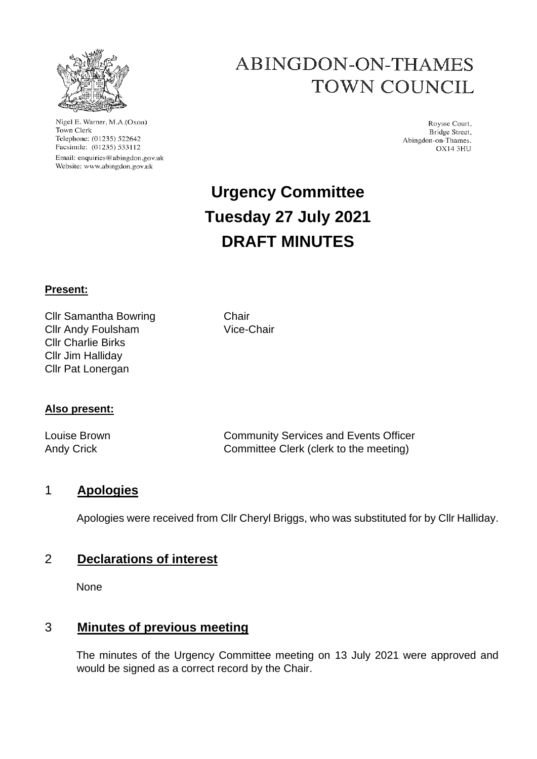

Nigel E. Warner, M.A.(Oxon) Town Clerk Telephone: (01235) 522642 Facsimile: (01235) 533112 Email: enquiries@abingdon.gov.uk Website: www.abingdon.gov.uk

## **ABINGDON-ON-THAMES TOWN COUNCIL**

Roysse Court, Bridge Street, Abingdon-on-Thames. OX14 3HU

# **Urgency Committee Tuesday 27 July 2021 DRAFT MINUTES**

#### **Present:**

Cllr Samantha Bowring Chair Cllr Andy Foulsham Vice-Chair Cllr Charlie Birks Cllr Jim Halliday Cllr Pat Lonergan

#### **Also present:**

Louise Brown Community Services and Events Officer Andy Crick Committee Clerk (clerk to the meeting)

#### 1 **Apologies**

Apologies were received from Cllr Cheryl Briggs, who was substituted for by Cllr Halliday.

#### 2 **Declarations of interest**

None

#### 3 **Minutes of previous meeting**

The minutes of the Urgency Committee meeting on 13 July 2021 were approved and would be signed as a correct record by the Chair.